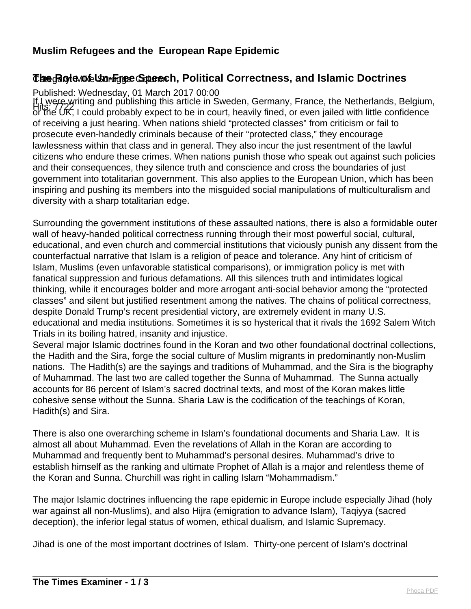# **Muslim Refugees and the European Rape Epidemic**

# *The Role nte Un-Free Speech, Political Correctness, and Islamic Doctrines*

Published: Wednesday, 01 March 2017 00:00

If I were writing and publishing this article in Sweden, Germany, France, the Netherlands, Belgium,<br>Hits: 7722 Leould probably expect to be in equationally fined, or even isiled with little confidence. or the UK, I could probably expect to be in court, heavily fined, or even jailed with little confidence of receiving a just hearing. When nations shield "protected classes" from criticism or fail to prosecute even-handedly criminals because of their "protected class," they encourage lawlessness within that class and in general. They also incur the just resentment of the lawful citizens who endure these crimes. When nations punish those who speak out against such policies and their consequences, they silence truth and conscience and cross the boundaries of just government into totalitarian government. This also applies to the European Union, which has been inspiring and pushing its members into the misguided social manipulations of multiculturalism and diversity with a sharp totalitarian edge.

Surrounding the government institutions of these assaulted nations, there is also a formidable outer wall of heavy-handed political correctness running through their most powerful social, cultural, educational, and even church and commercial institutions that viciously punish any dissent from the counterfactual narrative that Islam is a religion of peace and tolerance. Any hint of criticism of Islam, Muslims (even unfavorable statistical comparisons), or immigration policy is met with fanatical suppression and furious defamations. All this silences truth and intimidates logical thinking, while it encourages bolder and more arrogant anti-social behavior among the "protected classes" and silent but justified resentment among the natives. The chains of political correctness, despite Donald Trump's recent presidential victory, are extremely evident in many U.S. educational and media institutions. Sometimes it is so hysterical that it rivals the 1692 Salem Witch Trials in its boiling hatred, insanity and injustice.

Several major Islamic doctrines found in the Koran and two other foundational doctrinal collections, the Hadith and the Sira, forge the social culture of Muslim migrants in predominantly non-Muslim nations. The Hadith(s) are the sayings and traditions of Muhammad, and the Sira is the biography of Muhammad. The last two are called together the Sunna of Muhammad. The Sunna actually accounts for 86 percent of Islam's sacred doctrinal texts, and most of the Koran makes little cohesive sense without the Sunna. Sharia Law is the codification of the teachings of Koran, Hadith(s) and Sira.

There is also one overarching scheme in Islam's foundational documents and Sharia Law. It is almost all about Muhammad. Even the revelations of Allah in the Koran are according to Muhammad and frequently bent to Muhammad's personal desires. Muhammad's drive to establish himself as the ranking and ultimate Prophet of Allah is a major and relentless theme of the Koran and Sunna. Churchill was right in calling Islam "Mohammadism."

The major Islamic doctrines influencing the rape epidemic in Europe include especially Jihad (holy war against all non-Muslims), and also Hijra (emigration to advance Islam), Taqiyya (sacred deception), the inferior legal status of women, ethical dualism, and Islamic Supremacy.

Jihad is one of the most important doctrines of Islam. Thirty-one percent of Islam's doctrinal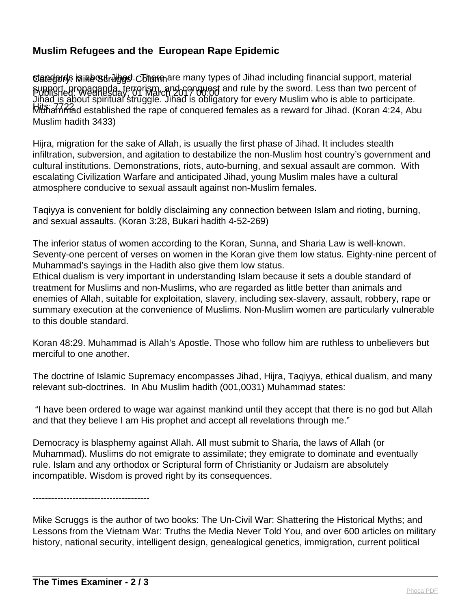## **Muslim Refugees and the European Rape Epidemic**

**Uaregords is a Revert Angel.** Chlemare many types of Jihad including financial support, material Published: Wednesday, 01 March 2017 00:00 support, propaganda, terrorism, and conquest and rule by the sword. Less than two percent of Hits: 7722 Muhammad established the rape of conquered females as a reward for Jihad. (Koran 4:24, Abu Jihad is about spiritual struggle. Jihad is obligatory for every Muslim who is able to participate. Muslim hadith 3433)

Hijra, migration for the sake of Allah, is usually the first phase of Jihad. It includes stealth infiltration, subversion, and agitation to destabilize the non-Muslim host country's government and cultural institutions. Demonstrations, riots, auto-burning, and sexual assault are common. With escalating Civilization Warfare and anticipated Jihad, young Muslim males have a cultural atmosphere conducive to sexual assault against non-Muslim females.

Taqiyya is convenient for boldly disclaiming any connection between Islam and rioting, burning, and sexual assaults. (Koran 3:28, Bukari hadith 4-52-269)

The inferior status of women according to the Koran, Sunna, and Sharia Law is well-known. Seventy-one percent of verses on women in the Koran give them low status. Eighty-nine percent of Muhammad's sayings in the Hadith also give them low status.

Ethical dualism is very important in understanding Islam because it sets a double standard of treatment for Muslims and non-Muslims, who are regarded as little better than animals and enemies of Allah, suitable for exploitation, slavery, including sex-slavery, assault, robbery, rape or summary execution at the convenience of Muslims. Non-Muslim women are particularly vulnerable to this double standard.

Koran 48:29. Muhammad is Allah's Apostle. Those who follow him are ruthless to unbelievers but merciful to one another.

The doctrine of Islamic Supremacy encompasses Jihad, Hijra, Taqiyya, ethical dualism, and many relevant sub-doctrines. In Abu Muslim hadith (001,0031) Muhammad states:

 "I have been ordered to wage war against mankind until they accept that there is no god but Allah and that they believe I am His prophet and accept all revelations through me."

Democracy is blasphemy against Allah. All must submit to Sharia, the laws of Allah (or Muhammad). Muslims do not emigrate to assimilate; they emigrate to dominate and eventually rule. Islam and any orthodox or Scriptural form of Christianity or Judaism are absolutely incompatible. Wisdom is proved right by its consequences.

--------------------------------------

Mike Scruggs is the author of two books: The Un-Civil War: Shattering the Historical Myths; and Lessons from the Vietnam War: Truths the Media Never Told You, and over 600 articles on military history, national security, intelligent design, genealogical genetics, immigration, current political